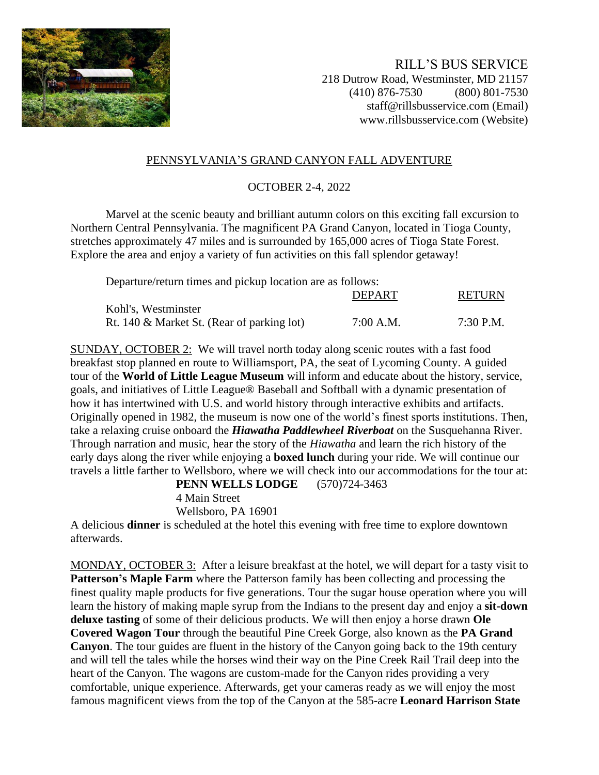

RILL'S BUS SERVICE 218 Dutrow Road, Westminster, MD 21157 (410) 876-7530 (800) 801-7530 staff@rillsbusservice.com (Email) www.rillsbusservice.com (Website)

## PENNSYLVANIA'S GRAND CANYON FALL ADVENTURE

## OCTOBER 2-4, 2022

Marvel at the scenic beauty and brilliant autumn colors on this exciting fall excursion to Northern Central Pennsylvania. The magnificent PA Grand Canyon, located in Tioga County, stretches approximately 47 miles and is surrounded by 165,000 acres of Tioga State Forest. Explore the area and enjoy a variety of fun activities on this fall splendor getaway!

Departure/return times and pickup location are as follows:

|                                            | <b>DEPART</b> | RETURN    |
|--------------------------------------------|---------------|-----------|
| Kohl's, Westminster                        |               |           |
| Rt. 140 & Market St. (Rear of parking lot) | $7:00$ A.M.   | 7:30 P.M. |

SUNDAY, OCTOBER 2: We will travel north today along scenic routes with a fast food breakfast stop planned en route to Williamsport, PA, the seat of Lycoming County. A guided tour of the **World of Little League Museum** will inform and educate about the history, service, goals, and initiatives of Little League® Baseball and Softball with a dynamic presentation of how it has intertwined with U.S. and world history through interactive exhibits and artifacts. Originally opened in 1982, the museum is now one of the world's finest sports institutions. Then, take a relaxing cruise onboard the *Hiawatha Paddlewheel Riverboat* on the Susquehanna River. Through narration and music, hear the story of the *Hiawatha* and learn the rich history of the early days along the river while enjoying a **boxed lunch** during your ride. We will continue our travels a little farther to Wellsboro, where we will check into our accommodations for the tour at:

**PENN WELLS LODGE** (570)724-3463

4 Main Street

Wellsboro, PA 16901

A delicious **dinner** is scheduled at the hotel this evening with free time to explore downtown afterwards.

MONDAY, OCTOBER 3: After a leisure breakfast at the hotel, we will depart for a tasty visit to **Patterson's Maple Farm** where the Patterson family has been collecting and processing the finest quality maple products for five generations. Tour the sugar house operation where you will learn the history of making maple syrup from the Indians to the present day and enjoy a **sit-down deluxe tasting** of some of their delicious products. We will then enjoy a horse drawn **Ole Covered Wagon Tour** through the beautiful Pine Creek Gorge, also known as the **PA Grand Canyon**. The tour guides are fluent in the history of the Canyon going back to the 19th century and will tell the tales while the horses wind their way on the Pine Creek Rail Trail deep into the heart of the Canyon. The wagons are custom-made for the Canyon rides providing a very comfortable, unique experience. Afterwards, get your cameras ready as we will enjoy the most famous magnificent views from the top of the Canyon at the 585-acre **Leonard Harrison State**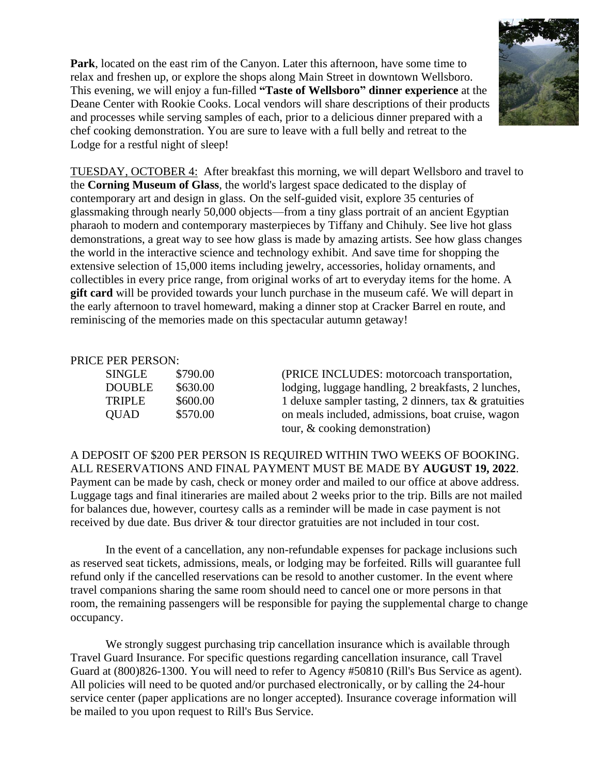**Park**, located on the east rim of the Canyon. Later this afternoon, have some time to relax and freshen up, or explore the shops along Main Street in downtown Wellsboro. This evening, we will enjoy a fun-filled **"Taste of Wellsboro" dinner experience** at the Deane Center with Rookie Cooks. Local vendors will share descriptions of their products and processes while serving samples of each, prior to a delicious dinner prepared with a chef cooking demonstration. You are sure to leave with a full belly and retreat to the Lodge for a restful night of sleep!



TUESDAY, OCTOBER 4: After breakfast this morning, we will depart Wellsboro and travel to the **Corning Museum of Glass**, the world's largest space dedicated to the display of contemporary art and design in glass. On the self-guided visit, explore 35 centuries of glassmaking through nearly 50,000 objects—from a tiny glass portrait of an ancient Egyptian pharaoh to modern and contemporary masterpieces by Tiffany and Chihuly. See live hot glass demonstrations, a great way to see how glass is made by amazing artists. See how glass changes the world in the interactive science and technology exhibit. And save time for shopping the extensive selection of 15,000 items including jewelry, accessories, holiday ornaments, and collectibles in every price range, from original works of art to everyday items for the home. A **gift card** will be provided towards your lunch purchase in the museum café. We will depart in the early afternoon to travel homeward, making a dinner stop at Cracker Barrel en route, and reminiscing of the memories made on this spectacular autumn getaway!

## PRICE PER PERSON:

| SINGLE        | \$790.00 | (PRICE INCLUDES: motorcoach transportation,              |
|---------------|----------|----------------------------------------------------------|
| <b>DOUBLE</b> | \$630.00 | lodging, luggage handling, 2 breakfasts, 2 lunches,      |
| <b>TRIPLE</b> | \$600.00 | 1 deluxe sampler tasting, 2 dinners, tax $\&$ gratuities |
| <b>QUAD</b>   | \$570.00 | on meals included, admissions, boat cruise, wagon        |
|               |          | tour, $\&$ cooking demonstration)                        |

A DEPOSIT OF \$200 PER PERSON IS REQUIRED WITHIN TWO WEEKS OF BOOKING. ALL RESERVATIONS AND FINAL PAYMENT MUST BE MADE BY **AUGUST 19, 2022**. Payment can be made by cash, check or money order and mailed to our office at above address. Luggage tags and final itineraries are mailed about 2 weeks prior to the trip. Bills are not mailed for balances due, however, courtesy calls as a reminder will be made in case payment is not received by due date. Bus driver & tour director gratuities are not included in tour cost.

In the event of a cancellation, any non-refundable expenses for package inclusions such as reserved seat tickets, admissions, meals, or lodging may be forfeited. Rills will guarantee full refund only if the cancelled reservations can be resold to another customer. In the event where travel companions sharing the same room should need to cancel one or more persons in that room, the remaining passengers will be responsible for paying the supplemental charge to change occupancy.

We strongly suggest purchasing trip cancellation insurance which is available through Travel Guard Insurance. For specific questions regarding cancellation insurance, call Travel Guard at (800)826-1300. You will need to refer to Agency #50810 (Rill's Bus Service as agent). All policies will need to be quoted and/or purchased electronically, or by calling the 24-hour service center (paper applications are no longer accepted). Insurance coverage information will be mailed to you upon request to Rill's Bus Service.